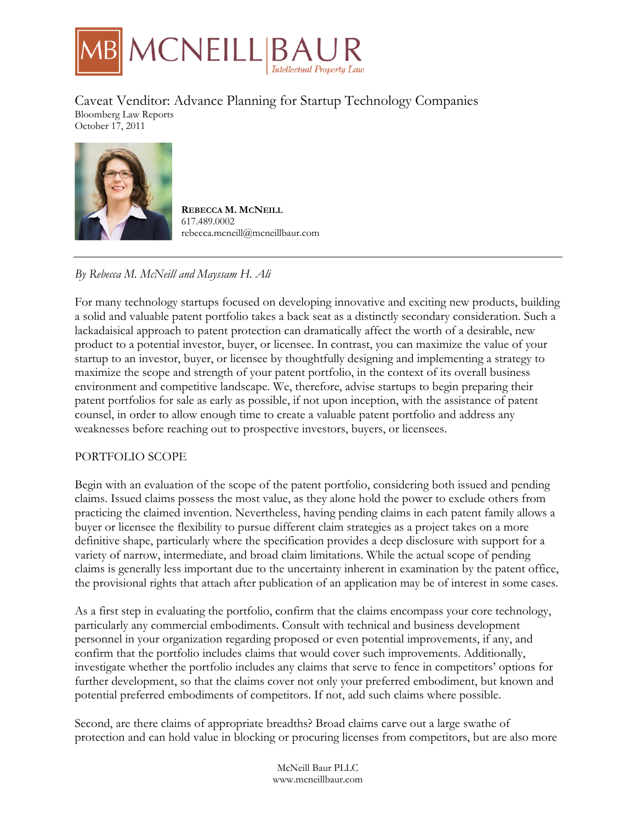

Caveat Venditor: Advance Planning for Startup Technology Companies Bloomberg Law Reports October 17, 2011



**REBECCA M. MCNEILL** 617.489.0002 rebecca.mcneill@mcneillbaur.com

# *By Rebecca M. McNeill and Mayssam H. Ali*

For many technology startups focused on developing innovative and exciting new products, building a solid and valuable patent portfolio takes a back seat as a distinctly secondary consideration. Such a lackadaisical approach to patent protection can dramatically affect the worth of a desirable, new product to a potential investor, buyer, or licensee. In contrast, you can maximize the value of your startup to an investor, buyer, or licensee by thoughtfully designing and implementing a strategy to maximize the scope and strength of your patent portfolio, in the context of its overall business environment and competitive landscape. We, therefore, advise startups to begin preparing their patent portfolios for sale as early as possible, if not upon inception, with the assistance of patent counsel, in order to allow enough time to create a valuable patent portfolio and address any weaknesses before reaching out to prospective investors, buyers, or licensees.

### PORTFOLIO SCOPE

Begin with an evaluation of the scope of the patent portfolio, considering both issued and pending claims. Issued claims possess the most value, as they alone hold the power to exclude others from practicing the claimed invention. Nevertheless, having pending claims in each patent family allows a buyer or licensee the flexibility to pursue different claim strategies as a project takes on a more definitive shape, particularly where the specification provides a deep disclosure with support for a variety of narrow, intermediate, and broad claim limitations. While the actual scope of pending claims is generally less important due to the uncertainty inherent in examination by the patent office, the provisional rights that attach after publication of an application may be of interest in some cases.

As a first step in evaluating the portfolio, confirm that the claims encompass your core technology, particularly any commercial embodiments. Consult with technical and business development personnel in your organization regarding proposed or even potential improvements, if any, and confirm that the portfolio includes claims that would cover such improvements. Additionally, investigate whether the portfolio includes any claims that serve to fence in competitors' options for further development, so that the claims cover not only your preferred embodiment, but known and potential preferred embodiments of competitors. If not, add such claims where possible.

Second, are there claims of appropriate breadths? Broad claims carve out a large swathe of protection and can hold value in blocking or procuring licenses from competitors, but are also more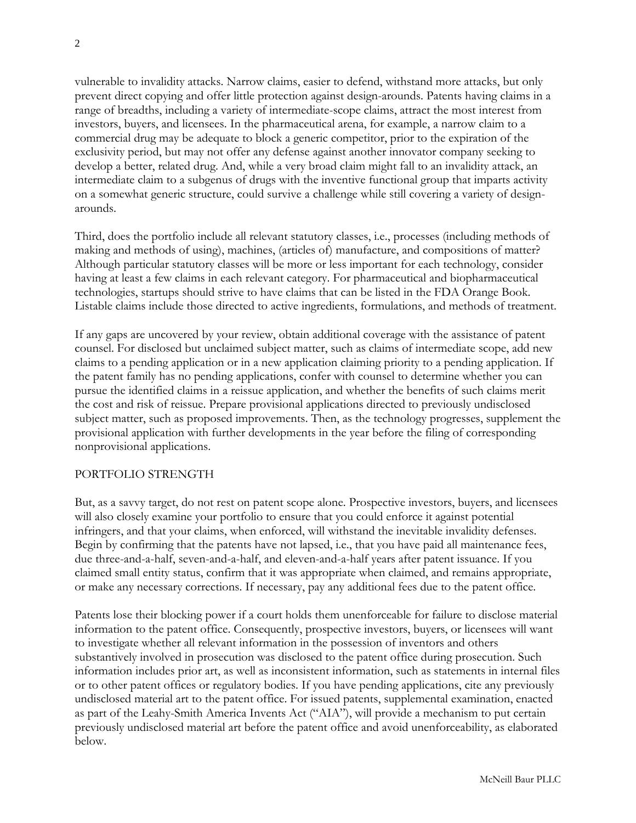vulnerable to invalidity attacks. Narrow claims, easier to defend, withstand more attacks, but only prevent direct copying and offer little protection against design-arounds. Patents having claims in a range of breadths, including a variety of intermediate-scope claims, attract the most interest from investors, buyers, and licensees. In the pharmaceutical arena, for example, a narrow claim to a commercial drug may be adequate to block a generic competitor, prior to the expiration of the exclusivity period, but may not offer any defense against another innovator company seeking to develop a better, related drug. And, while a very broad claim might fall to an invalidity attack, an intermediate claim to a subgenus of drugs with the inventive functional group that imparts activity on a somewhat generic structure, could survive a challenge while still covering a variety of designarounds.

Third, does the portfolio include all relevant statutory classes, i.e., processes (including methods of making and methods of using), machines, (articles of) manufacture, and compositions of matter? Although particular statutory classes will be more or less important for each technology, consider having at least a few claims in each relevant category. For pharmaceutical and biopharmaceutical technologies, startups should strive to have claims that can be listed in the FDA Orange Book. Listable claims include those directed to active ingredients, formulations, and methods of treatment.

If any gaps are uncovered by your review, obtain additional coverage with the assistance of patent counsel. For disclosed but unclaimed subject matter, such as claims of intermediate scope, add new claims to a pending application or in a new application claiming priority to a pending application. If the patent family has no pending applications, confer with counsel to determine whether you can pursue the identified claims in a reissue application, and whether the benefits of such claims merit the cost and risk of reissue. Prepare provisional applications directed to previously undisclosed subject matter, such as proposed improvements. Then, as the technology progresses, supplement the provisional application with further developments in the year before the filing of corresponding nonprovisional applications.

### PORTFOLIO STRENGTH

But, as a savvy target, do not rest on patent scope alone. Prospective investors, buyers, and licensees will also closely examine your portfolio to ensure that you could enforce it against potential infringers, and that your claims, when enforced, will withstand the inevitable invalidity defenses. Begin by confirming that the patents have not lapsed, i.e., that you have paid all maintenance fees, due three-and-a-half, seven-and-a-half, and eleven-and-a-half years after patent issuance. If you claimed small entity status, confirm that it was appropriate when claimed, and remains appropriate, or make any necessary corrections. If necessary, pay any additional fees due to the patent office.

Patents lose their blocking power if a court holds them unenforceable for failure to disclose material information to the patent office. Consequently, prospective investors, buyers, or licensees will want to investigate whether all relevant information in the possession of inventors and others substantively involved in prosecution was disclosed to the patent office during prosecution. Such information includes prior art, as well as inconsistent information, such as statements in internal files or to other patent offices or regulatory bodies. If you have pending applications, cite any previously undisclosed material art to the patent office. For issued patents, supplemental examination, enacted as part of the Leahy-Smith America Invents Act ("AIA"), will provide a mechanism to put certain previously undisclosed material art before the patent office and avoid unenforceability, as elaborated below.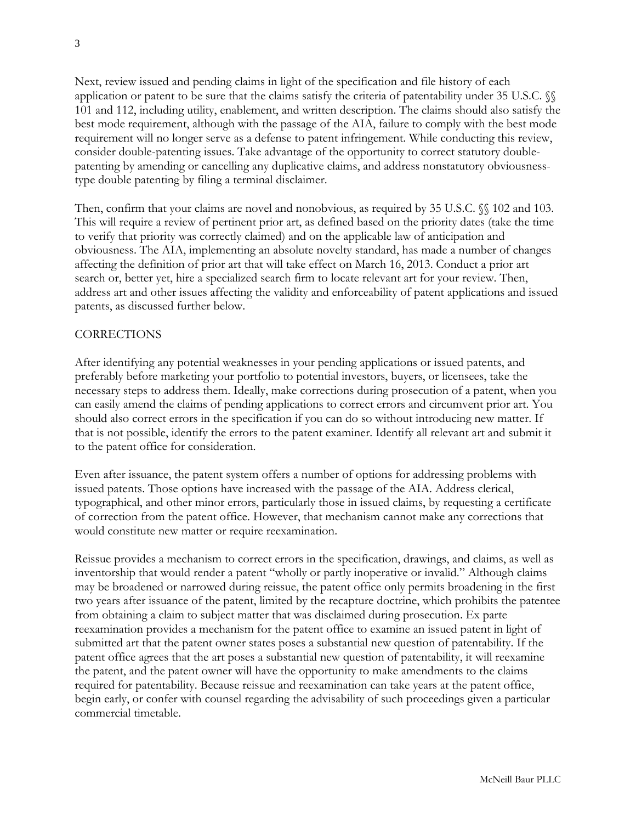Next, review issued and pending claims in light of the specification and file history of each application or patent to be sure that the claims satisfy the criteria of patentability under 35 U.S.C. §§ 101 and 112, including utility, enablement, and written description. The claims should also satisfy the best mode requirement, although with the passage of the AIA, failure to comply with the best mode requirement will no longer serve as a defense to patent infringement. While conducting this review, consider double-patenting issues. Take advantage of the opportunity to correct statutory doublepatenting by amending or cancelling any duplicative claims, and address nonstatutory obviousnesstype double patenting by filing a terminal disclaimer.

Then, confirm that your claims are novel and nonobvious, as required by 35 U.S.C.  $\%$  102 and 103. This will require a review of pertinent prior art, as defined based on the priority dates (take the time to verify that priority was correctly claimed) and on the applicable law of anticipation and obviousness. The AIA, implementing an absolute novelty standard, has made a number of changes affecting the definition of prior art that will take effect on March 16, 2013. Conduct a prior art search or, better yet, hire a specialized search firm to locate relevant art for your review. Then, address art and other issues affecting the validity and enforceability of patent applications and issued patents, as discussed further below.

## CORRECTIONS

After identifying any potential weaknesses in your pending applications or issued patents, and preferably before marketing your portfolio to potential investors, buyers, or licensees, take the necessary steps to address them. Ideally, make corrections during prosecution of a patent, when you can easily amend the claims of pending applications to correct errors and circumvent prior art. You should also correct errors in the specification if you can do so without introducing new matter. If that is not possible, identify the errors to the patent examiner. Identify all relevant art and submit it to the patent office for consideration.

Even after issuance, the patent system offers a number of options for addressing problems with issued patents. Those options have increased with the passage of the AIA. Address clerical, typographical, and other minor errors, particularly those in issued claims, by requesting a certificate of correction from the patent office. However, that mechanism cannot make any corrections that would constitute new matter or require reexamination.

Reissue provides a mechanism to correct errors in the specification, drawings, and claims, as well as inventorship that would render a patent "wholly or partly inoperative or invalid." Although claims may be broadened or narrowed during reissue, the patent office only permits broadening in the first two years after issuance of the patent, limited by the recapture doctrine, which prohibits the patentee from obtaining a claim to subject matter that was disclaimed during prosecution. Ex parte reexamination provides a mechanism for the patent office to examine an issued patent in light of submitted art that the patent owner states poses a substantial new question of patentability. If the patent office agrees that the art poses a substantial new question of patentability, it will reexamine the patent, and the patent owner will have the opportunity to make amendments to the claims required for patentability. Because reissue and reexamination can take years at the patent office, begin early, or confer with counsel regarding the advisability of such proceedings given a particular commercial timetable.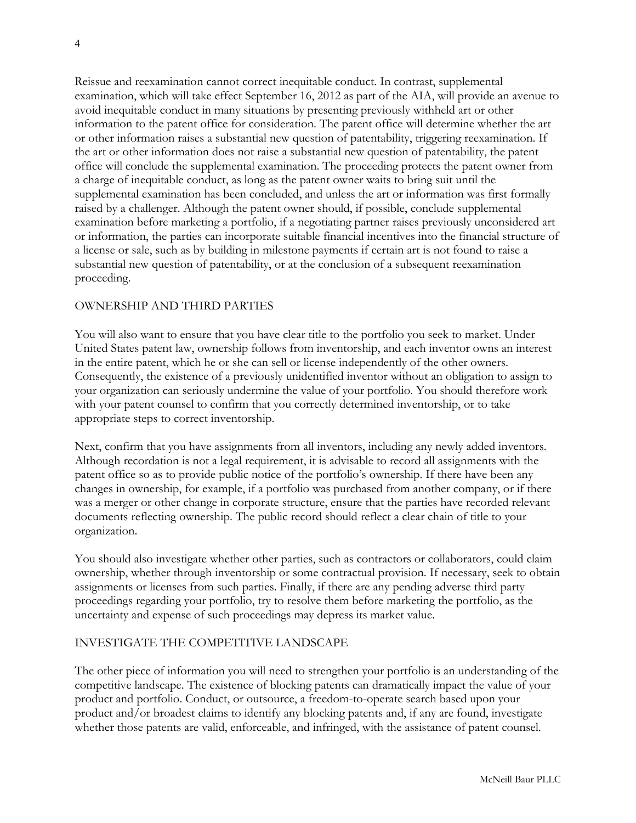Reissue and reexamination cannot correct inequitable conduct. In contrast, supplemental examination, which will take effect September 16, 2012 as part of the AIA, will provide an avenue to avoid inequitable conduct in many situations by presenting previously withheld art or other information to the patent office for consideration. The patent office will determine whether the art or other information raises a substantial new question of patentability, triggering reexamination. If the art or other information does not raise a substantial new question of patentability, the patent office will conclude the supplemental examination. The proceeding protects the patent owner from a charge of inequitable conduct, as long as the patent owner waits to bring suit until the supplemental examination has been concluded, and unless the art or information was first formally raised by a challenger. Although the patent owner should, if possible, conclude supplemental examination before marketing a portfolio, if a negotiating partner raises previously unconsidered art or information, the parties can incorporate suitable financial incentives into the financial structure of a license or sale, such as by building in milestone payments if certain art is not found to raise a substantial new question of patentability, or at the conclusion of a subsequent reexamination proceeding.

### OWNERSHIP AND THIRD PARTIES

You will also want to ensure that you have clear title to the portfolio you seek to market. Under United States patent law, ownership follows from inventorship, and each inventor owns an interest in the entire patent, which he or she can sell or license independently of the other owners. Consequently, the existence of a previously unidentified inventor without an obligation to assign to your organization can seriously undermine the value of your portfolio. You should therefore work with your patent counsel to confirm that you correctly determined inventorship, or to take appropriate steps to correct inventorship.

Next, confirm that you have assignments from all inventors, including any newly added inventors. Although recordation is not a legal requirement, it is advisable to record all assignments with the patent office so as to provide public notice of the portfolio's ownership. If there have been any changes in ownership, for example, if a portfolio was purchased from another company, or if there was a merger or other change in corporate structure, ensure that the parties have recorded relevant documents reflecting ownership. The public record should reflect a clear chain of title to your organization.

You should also investigate whether other parties, such as contractors or collaborators, could claim ownership, whether through inventorship or some contractual provision. If necessary, seek to obtain assignments or licenses from such parties. Finally, if there are any pending adverse third party proceedings regarding your portfolio, try to resolve them before marketing the portfolio, as the uncertainty and expense of such proceedings may depress its market value.

## INVESTIGATE THE COMPETITIVE LANDSCAPE

The other piece of information you will need to strengthen your portfolio is an understanding of the competitive landscape. The existence of blocking patents can dramatically impact the value of your product and portfolio. Conduct, or outsource, a freedom-to-operate search based upon your product and/or broadest claims to identify any blocking patents and, if any are found, investigate whether those patents are valid, enforceable, and infringed, with the assistance of patent counsel.